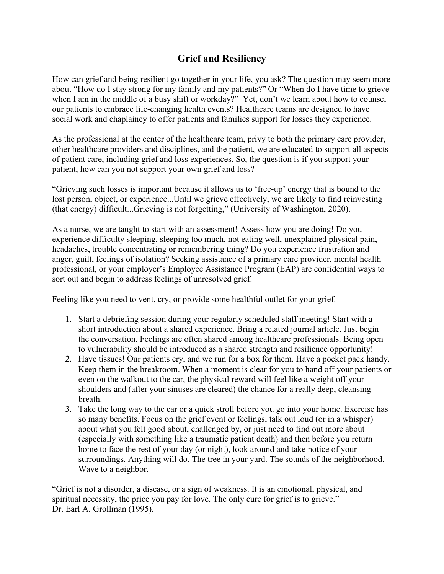## **Grief and Resiliency**

How can grief and being resilient go together in your life, you ask? The question may seem more about "How do I stay strong for my family and my patients?" Or "When do I have time to grieve when I am in the middle of a busy shift or workday?" Yet, don't we learn about how to counsel our patients to embrace life-changing health events? Healthcare teams are designed to have social work and chaplaincy to offer patients and families support for losses they experience.

As the professional at the center of the healthcare team, privy to both the primary care provider, other healthcare providers and disciplines, and the patient, we are educated to support all aspects of patient care, including grief and loss experiences. So, the question is if you support your patient, how can you not support your own grief and loss?

"Grieving such losses is important because it allows us to 'free-up' energy that is bound to the lost person, object, or experience...Until we grieve effectively, we are likely to find reinvesting (that energy) difficult...Grieving is not forgetting," (University of Washington, 2020).

As a nurse, we are taught to start with an assessment! Assess how you are doing! Do you experience difficulty sleeping, sleeping too much, not eating well, unexplained physical pain, headaches, trouble concentrating or remembering thing? Do you experience frustration and anger, guilt, feelings of isolation? Seeking assistance of a primary care provider, mental health professional, or your employer's Employee Assistance Program (EAP) are confidential ways to sort out and begin to address feelings of unresolved grief.

Feeling like you need to vent, cry, or provide some healthful outlet for your grief.

- 1. Start a debriefing session during your regularly scheduled staff meeting! Start with a short introduction about a shared experience. Bring a related journal article. Just begin the conversation. Feelings are often shared among healthcare professionals. Being open to vulnerability should be introduced as a shared strength and resilience opportunity!
- 2. Have tissues! Our patients cry, and we run for a box for them. Have a pocket pack handy. Keep them in the breakroom. When a moment is clear for you to hand off your patients or even on the walkout to the car, the physical reward will feel like a weight off your shoulders and (after your sinuses are cleared) the chance for a really deep, cleansing breath.
- 3. Take the long way to the car or a quick stroll before you go into your home. Exercise has so many benefits. Focus on the grief event or feelings, talk out loud (or in a whisper) about what you felt good about, challenged by, or just need to find out more about (especially with something like a traumatic patient death) and then before you return home to face the rest of your day (or night), look around and take notice of your surroundings. Anything will do. The tree in your yard. The sounds of the neighborhood. Wave to a neighbor.

"Grief is not a disorder, a disease, or a sign of weakness. It is an emotional, physical, and spiritual necessity, the price you pay for love. The only cure for grief is to grieve." Dr. Earl A. Grollman (1995).